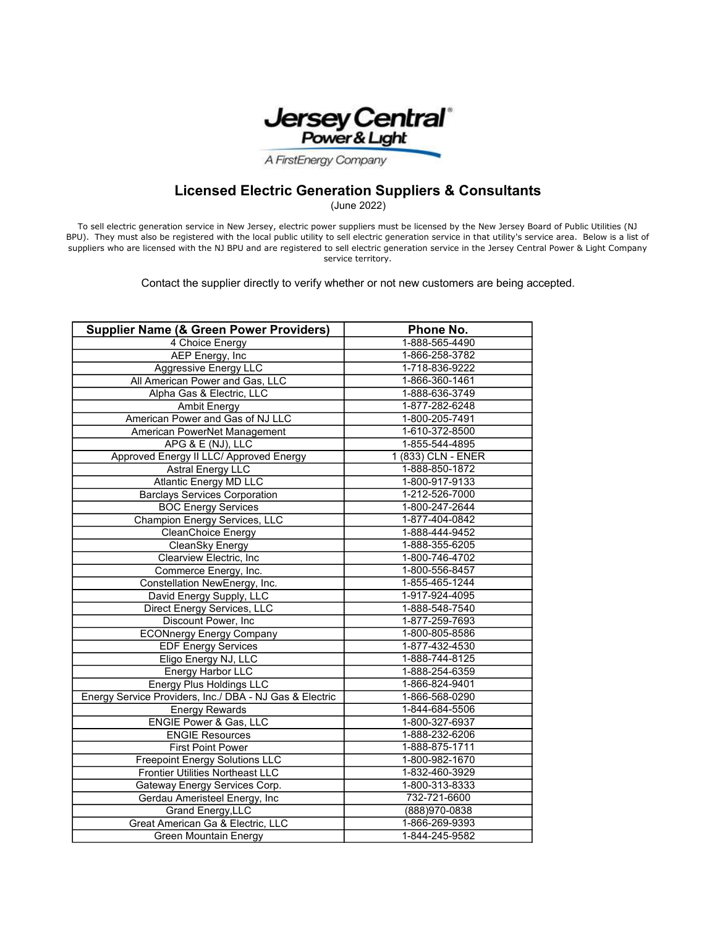

A FirstEnergy Company

## Licensed Electric Generation Suppliers & Consultants

(June 2022)

To sell electric generation service in New Jersey, electric power suppliers must be licensed by the New Jersey Board of Public Utilities (NJ BPU). They must also be registered with the local public utility to sell electric generation service in that utility's service area. Below is a list of suppliers who are licensed with the NJ BPU and are registered to sell electric generation service in the Jersey Central Power & Light Company service territory.

Contact the supplier directly to verify whether or not new customers are being accepted.

| <b>Supplier Name (&amp; Green Power Providers)</b>      | Phone No.          |
|---------------------------------------------------------|--------------------|
| 4 Choice Energy                                         | 1-888-565-4490     |
| AEP Energy, Inc                                         | 1-866-258-3782     |
| <b>Aggressive Energy LLC</b>                            | 1-718-836-9222     |
| All American Power and Gas, LLC                         | 1-866-360-1461     |
| Alpha Gas & Electric, LLC                               | 1-888-636-3749     |
| <b>Ambit Energy</b>                                     | 1-877-282-6248     |
| American Power and Gas of NJ LLC                        | 1-800-205-7491     |
| American PowerNet Management                            | 1-610-372-8500     |
| APG & E (NJ), LLC                                       | 1-855-544-4895     |
| Approved Energy II LLC/ Approved Energy                 | 1 (833) CLN - ENER |
| <b>Astral Energy LLC</b>                                | 1-888-850-1872     |
| <b>Atlantic Energy MD LLC</b>                           | 1-800-917-9133     |
| <b>Barclays Services Corporation</b>                    | 1-212-526-7000     |
| <b>BOC Energy Services</b>                              | 1-800-247-2644     |
| Champion Energy Services, LLC                           | 1-877-404-0842     |
| <b>CleanChoice Energy</b>                               | 1-888-444-9452     |
| CleanSky Energy                                         | 1-888-355-6205     |
| Clearview Electric, Inc                                 | 1-800-746-4702     |
| Commerce Energy, Inc.                                   | 1-800-556-8457     |
| Constellation NewEnergy, Inc.                           | 1-855-465-1244     |
| David Energy Supply, LLC                                | 1-917-924-4095     |
| Direct Energy Services, LLC                             | 1-888-548-7540     |
| Discount Power, Inc                                     | 1-877-259-7693     |
| <b>ECONnergy Energy Company</b>                         | 1-800-805-8586     |
| <b>EDF Energy Services</b>                              | 1-877-432-4530     |
| Eligo Energy NJ, LLC                                    | 1-888-744-8125     |
| Energy Harbor LLC                                       | 1-888-254-6359     |
| <b>Energy Plus Holdings LLC</b>                         | 1-866-824-9401     |
| Energy Service Providers, Inc./ DBA - NJ Gas & Electric | 1-866-568-0290     |
| <b>Energy Rewards</b>                                   | 1-844-684-5506     |
| ENGIE Power & Gas, LLC                                  | 1-800-327-6937     |
| <b>ENGIE Resources</b>                                  | 1-888-232-6206     |
| <b>First Point Power</b>                                | 1-888-875-1711     |
| <b>Freepoint Energy Solutions LLC</b>                   | 1-800-982-1670     |
| Frontier Utilities Northeast LLC                        | 1-832-460-3929     |
| Gateway Energy Services Corp.                           | 1-800-313-8333     |
| Gerdau Ameristeel Energy, Inc                           | 732-721-6600       |
| Grand Energy, LLC                                       | (888) 970-0838     |
| Great American Ga & Electric, LLC                       | 1-866-269-9393     |
| <b>Green Mountain Energy</b>                            | 1-844-245-9582     |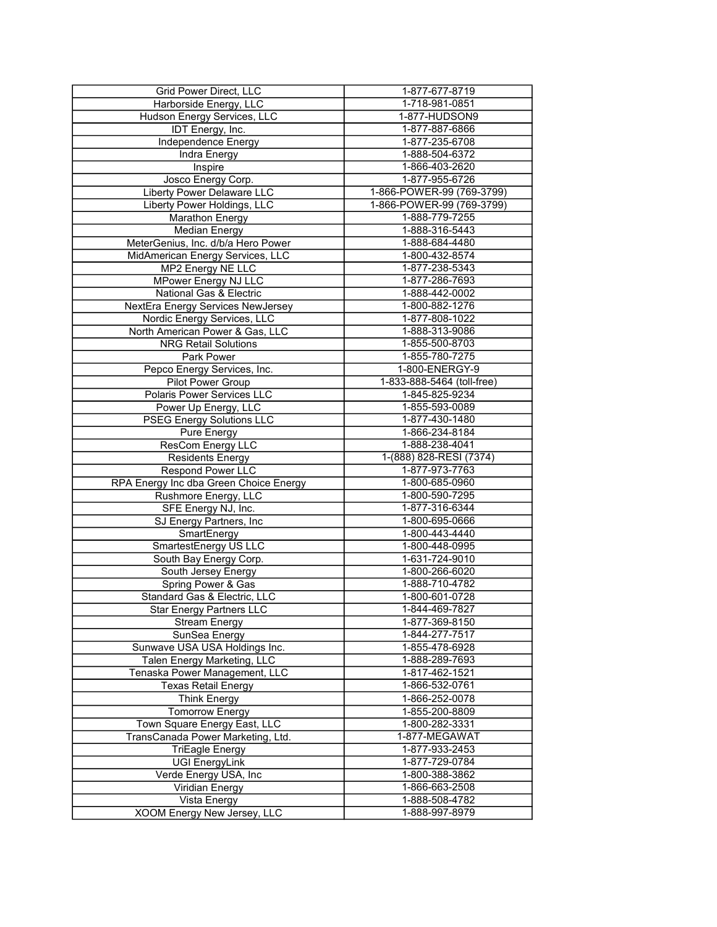| <b>Grid Power Direct, LLC</b>               | 1-877-677-8719                   |
|---------------------------------------------|----------------------------------|
| Harborside Energy, LLC                      | 1-718-981-0851                   |
| Hudson Energy Services, LLC                 | 1-877-HUDSON9                    |
| IDT Energy, Inc.                            | 1-877-887-6866                   |
| Independence Energy                         | 1-877-235-6708                   |
| Indra Energy                                | 1-888-504-6372                   |
| Inspire                                     | 1-866-403-2620                   |
| Josco Energy Corp.                          | 1-877-955-6726                   |
| Liberty Power Delaware LLC                  | 1-866-POWER-99 (769-3799)        |
| Liberty Power Holdings, LLC                 | 1-866-POWER-99 (769-3799)        |
| <b>Marathon Energy</b>                      | 1-888-779-7255                   |
| <b>Median Energy</b>                        | 1-888-316-5443                   |
| MeterGenius, Inc. d/b/a Hero Power          | 1-888-684-4480                   |
| MidAmerican Energy Services, LLC            | 1-800-432-8574                   |
| MP2 Energy NE LLC                           | 1-877-238-5343                   |
| MPower Energy NJ LLC                        | 1-877-286-7693                   |
| National Gas & Electric                     | 1-888-442-0002                   |
| NextEra Energy Services NewJersey           | 1-800-882-1276                   |
|                                             | 1-877-808-1022                   |
| Nordic Energy Services, LLC                 |                                  |
| North American Power & Gas, LLC             | 1-888-313-9086                   |
| <b>NRG</b> Retail Solutions                 | 1-855-500-8703                   |
| Park Power                                  | 1-855-780-7275                   |
| Pepco Energy Services, Inc.                 | 1-800-ENERGY-9                   |
| Pilot Power Group                           | 1-833-888-5464 (toll-free)       |
| Polaris Power Services LLC                  | 1-845-825-9234                   |
| Power Up Energy, LLC                        | 1-855-593-0089                   |
| <b>PSEG Energy Solutions LLC</b>            | 1-877-430-1480                   |
| Pure Energy                                 | 1-866-234-8184                   |
| ResCom Energy LLC                           | 1-888-238-4041                   |
| <b>Residents Energy</b>                     | 1-(888) 828-RESI (7374)          |
| Respond Power LLC                           | 1-877-973-7763                   |
| RPA Energy Inc dba Green Choice Energy      | 1-800-685-0960                   |
| Rushmore Energy, LLC                        | 1-800-590-7295                   |
| SFE Energy NJ, Inc.                         | 1-877-316-6344                   |
| SJ Energy Partners, Inc                     | 1-800-695-0666                   |
| SmartEnergy                                 | 1-800-443-4440                   |
| SmartestEnergy US LLC                       | 1-800-448-0995                   |
| South Bay Energy Corp.                      | 1-631-724-9010                   |
| South Jersey Energy                         | 1-800-266-6020                   |
| Spring Power & Gas                          | 1-888-710-4782                   |
| Standard Gas & Electric, LLC                | 1-800-601-0728                   |
| Star Energy Partners LLC                    | 1-844-469-7827                   |
| <b>Stream Energy</b>                        | 1-877-369-8150                   |
| SunSea Energy                               | 1-844-277-7517                   |
| Sunwave USA USA Holdings Inc.               | 1-855-478-6928                   |
| Talen Energy Marketing, LLC                 | 1-888-289-7693                   |
| Tenaska Power Management, LLC               | 1-817-462-1521                   |
| <b>Texas Retail Energy</b>                  | 1-866-532-0761                   |
|                                             |                                  |
| <b>Think Energy</b>                         | 1-866-252-0078                   |
| <b>Tomorrow Energy</b>                      | 1-855-200-8809                   |
| Town Square Energy East, LLC                | 1-800-282-3331                   |
| TransCanada Power Marketing, Ltd.           | 1-877-MEGAWAT                    |
| <b>TriEagle Energy</b>                      | 1-877-933-2453                   |
| <b>UGI EnergyLink</b>                       | 1-877-729-0784                   |
| Verde Energy USA, Inc                       | 1-800-388-3862                   |
| Viridian Energy                             |                                  |
|                                             | 1-866-663-2508                   |
| Vista Energy<br>XOOM Energy New Jersey, LLC | 1-888-508-4782<br>1-888-997-8979 |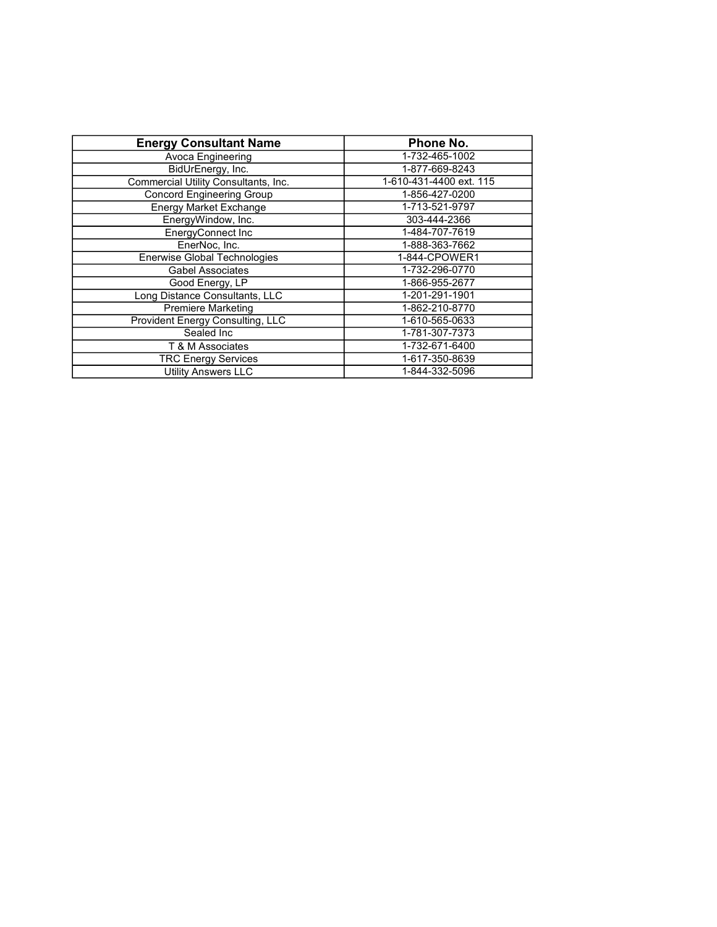| <b>Energy Consultant Name</b>           | Phone No.               |
|-----------------------------------------|-------------------------|
| Avoca Engineering                       | 1-732-465-1002          |
| BidUrEnergy, Inc.                       | 1-877-669-8243          |
| Commercial Utility Consultants, Inc.    | 1-610-431-4400 ext. 115 |
| <b>Concord Engineering Group</b>        | 1-856-427-0200          |
| <b>Energy Market Exchange</b>           | 1-713-521-9797          |
| EnergyWindow, Inc.                      | 303-444-2366            |
| EnergyConnect Inc                       | 1-484-707-7619          |
| EnerNoc, Inc.                           | 1-888-363-7662          |
| <b>Enerwise Global Technologies</b>     | 1-844-CPOWER1           |
| <b>Gabel Associates</b>                 | 1-732-296-0770          |
| Good Energy, LP                         | 1-866-955-2677          |
| Long Distance Consultants, LLC          | 1-201-291-1901          |
| <b>Premiere Marketing</b>               | 1-862-210-8770          |
| <b>Provident Energy Consulting, LLC</b> | 1-610-565-0633          |
| Sealed Inc                              | 1-781-307-7373          |
| T & M Associates                        | 1-732-671-6400          |
| <b>TRC Energy Services</b>              | 1-617-350-8639          |
| <b>Utility Answers LLC</b>              | 1-844-332-5096          |